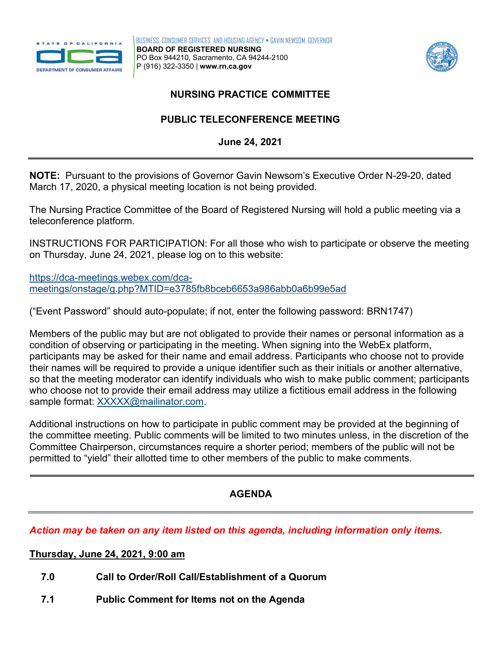



# *NURSING PRACTICE COMMITTEE*

# **PUBLIC TELECONFERENCE MEETING**

**June 24, 2021** 

 **NOTE:** Pursuant to the provisions of Governor Gavin Newsom's Executive Order N-29-20, dated March 17, 2020, a physical meeting location is not being provided.

The Nursing Practice Committee of the Board of Registered Nursing will hold a public meeting via a teleconference platform.

INSTRUCTIONS FOR PARTICIPATION: For all those who wish to participate or observe the meeting on Thursday, June 24, 2021, please log on to this website:

[https://dca-meetings.webex.com/dca](https://dca-meetings.webex.com/dca-meetings/onstage/g.php?MTID=e3785fb8bceb6653a986abb0a6b99e5ad)[meetings/onstage/g.php?MTID=e3785fb8bceb6653a986abb0a6b99e5ad](https://dca-meetings.webex.com/dca-meetings/onstage/g.php?MTID=e3785fb8bceb6653a986abb0a6b99e5ad) 

("Event Password" should auto-populate; if not, enter the following password: BRN1747)

 Members of the public may but are not obligated to provide their names or personal information as a condition of observing or participating in the meeting. When signing into the WebEx platform, participants may be asked for their name and email address. Participants who choose not to provide their names will be required to provide a unique identifier such as their initials or another alternative, so that the meeting moderator can identify individuals who wish to make public comment; participants who choose not to provide their email address may utilize a fictitious email address in the following sample format: [XXXXX@mailinator.com.](mailto:XXXXX@mailinator.com)

 Committee Chairperson, circumstances require a shorter period; members of the public will not be Additional instructions on how to participate in public comment may be provided at the beginning of the committee meeting. Public comments will be limited to two minutes unless, in the discretion of the permitted to "yield" their allotted time to other members of the public to make comments.

# **AGENDA**

#### *Action may be taken on any item listed on this agenda, including information only items.*

 **Thursday, June 24, 2021, 9:00 am** 

- **7.0 Call to Order/Roll Call/Establishment of a Quorum**
- **7.1 Public Comment for Items not on the Agenda**